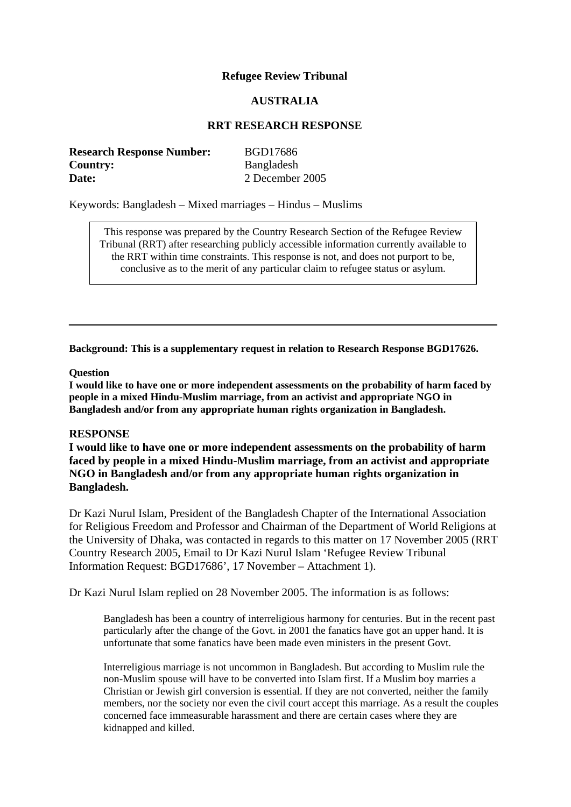### **Refugee Review Tribunal**

# **AUSTRALIA**

# **RRT RESEARCH RESPONSE**

| <b>Research Response Number:</b> | <b>BGD17686</b> |
|----------------------------------|-----------------|
| Country:                         | Bangladesh      |
| Date:                            | 2 December 2005 |

Keywords: Bangladesh – Mixed marriages – Hindus – Muslims

This response was prepared by the Country Research Section of the Refugee Review Tribunal (RRT) after researching publicly accessible information currently available to the RRT within time constraints. This response is not, and does not purport to be, conclusive as to the merit of any particular claim to refugee status or asylum.

**Background: This is a supplementary request in relation to Research Response BGD17626.** 

#### **Question**

**I would like to have one or more independent assessments on the probability of harm faced by people in a mixed Hindu-Muslim marriage, from an activist and appropriate NGO in Bangladesh and/or from any appropriate human rights organization in Bangladesh.** 

### **RESPONSE**

**I would like to have one or more independent assessments on the probability of harm faced by people in a mixed Hindu-Muslim marriage, from an activist and appropriate NGO in Bangladesh and/or from any appropriate human rights organization in Bangladesh.** 

Dr Kazi Nurul Islam, President of the Bangladesh Chapter of the International Association for Religious Freedom and Professor and Chairman of the Department of World Religions at the University of Dhaka, was contacted in regards to this matter on 17 November 2005 (RRT Country Research 2005, Email to Dr Kazi Nurul Islam 'Refugee Review Tribunal Information Request: BGD17686', 17 November – Attachment 1).

Dr Kazi Nurul Islam replied on 28 November 2005. The information is as follows:

Bangladesh has been a country of interreligious harmony for centuries. But in the recent past particularly after the change of the Govt. in 2001 the fanatics have got an upper hand. It is unfortunate that some fanatics have been made even ministers in the present Govt.

Interreligious marriage is not uncommon in Bangladesh. But according to Muslim rule the non-Muslim spouse will have to be converted into Islam first. If a Muslim boy marries a Christian or Jewish girl conversion is essential. If they are not converted, neither the family members, nor the society nor even the civil court accept this marriage. As a result the couples concerned face immeasurable harassment and there are certain cases where they are kidnapped and killed.